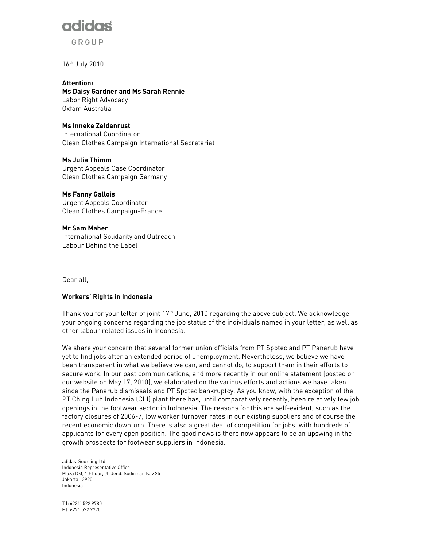

16th July 2010

Attention: Ms Daisy Gardner and Ms Sarah Rennie Labor Right Advocacy Oxfam Australia

# Ms Inneke Zeldenrust

International Coordinator Clean Clothes Campaign International Secretariat

Ms Julia Thimm Urgent Appeals Case Coordinator Clean Clothes Campaign Germany

Ms Fanny Gallois Urgent Appeals Coordinator Clean Clothes Campaign-France

Mr Sam Maher International Solidarity and Outreach Labour Behind the Label

Dear all,

#### Workers' Rights in Indonesia

Thank you for your letter of joint 17<sup>th</sup> June, 2010 regarding the above subject. We acknowledge your ongoing concerns regarding the job status of the individuals named in your letter, as well as other labour related issues in Indonesia.

We share your concern that several former union officials from PT Spotec and PT Panarub have yet to find jobs after an extended period of unemployment. Nevertheless, we believe we have been transparent in what we believe we can, and cannot do, to support them in their efforts to secure work. In our past communications, and more recently in our online statement (posted on our website on May 17, 2010), we elaborated on the various efforts and actions we have taken since the Panarub dismissals and PT Spotec bankruptcy. As you know, with the exception of the PT Ching Luh Indonesia (CLI) plant there has, until comparatively recently, been relatively few job openings in the footwear sector in Indonesia. The reasons for this are self-evident, such as the factory closures of 2006-7, low worker turnover rates in our existing suppliers and of course the recent economic downturn. There is also a great deal of competition for jobs, with hundreds of applicants for every open position. The good news is there now appears to be an upswing in the growth prospects for footwear suppliers in Indonesia.

adidas-Sourcing Ltd Indonesia Representative Office Plaza DM, 10 floor, Jl. Jend. Sudirman Kav 25 Jakarta 12920 Indonesia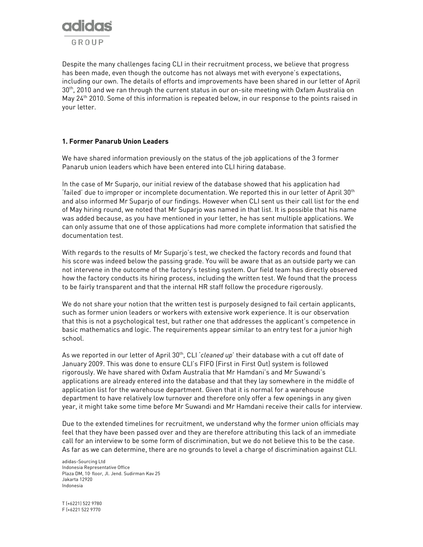

Despite the many challenges facing CLI in their recruitment process, we believe that progress has been made, even though the outcome has not always met with everyone's expectations, including our own. The details of efforts and improvements have been shared in our letter of April 30th, 2010 and we ran through the current status in our on-site meeting with Oxfam Australia on May 24<sup>th</sup> 2010. Some of this information is repeated below, in our response to the points raised in your letter.

### 1. Former Panarub Union Leaders

We have shared information previously on the status of the job applications of the 3 former Panarub union leaders which have been entered into CLI hiring database.

In the case of Mr Suparjo, our initial review of the database showed that his application had 'failed' due to improper or incomplete documentation. We reported this in our letter of April 30<sup>th</sup> and also informed Mr Suparjo of our findings. However when CLI sent us their call list for the end of May hiring round, we noted that Mr Suparjo was named in that list. It is possible that his name was added because, as you have mentioned in your letter, he has sent multiple applications. We can only assume that one of those applications had more complete information that satisfied the documentation test.

With regards to the results of Mr Suparjo's test, we checked the factory records and found that his score was indeed below the passing grade. You will be aware that as an outside party we can not intervene in the outcome of the factory's testing system. Our field team has directly observed how the factory conducts its hiring process, including the written test. We found that the process to be fairly transparent and that the internal HR staff follow the procedure rigorously.

We do not share your notion that the written test is purposely designed to fail certain applicants, such as former union leaders or workers with extensive work experience. It is our observation that this is not a psychological test, but rather one that addresses the applicant's competence in basic mathematics and logic. The requirements appear similar to an entry test for a junior high school.

As we reported in our letter of April  $30<sup>th</sup>$ , CLI 'cleaned up' their database with a cut off date of January 2009. This was done to ensure CLI's FIFO (First in First Out) system is followed rigorously. We have shared with Oxfam Australia that Mr Hamdani's and Mr Suwandi's applications are already entered into the database and that they lay somewhere in the middle of application list for the warehouse department. Given that it is normal for a warehouse department to have relatively low turnover and therefore only offer a few openings in any given year, it might take some time before Mr Suwandi and Mr Hamdani receive their calls for interview.

Due to the extended timelines for recruitment, we understand why the former union officials may feel that they have been passed over and they are therefore attributing this lack of an immediate call for an interview to be some form of discrimination, but we do not believe this to be the case. As far as we can determine, there are no grounds to level a charge of discrimination against CLI.

adidas-Sourcing Ltd Indonesia Representative Office Plaza DM, 10 floor, Jl. Jend. Sudirman Kav 25 Jakarta 12920 Indonesia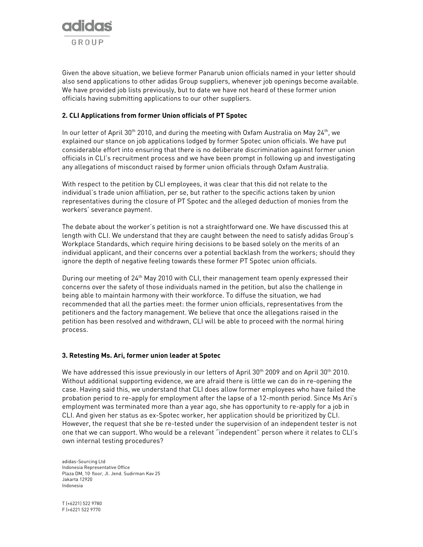

Given the above situation, we believe former Panarub union officials named in your letter should also send applications to other adidas Group suppliers, whenever job openings become available. We have provided job lists previously, but to date we have not heard of these former union officials having submitting applications to our other suppliers.

### 2. CLI Applications from former Union officials of PT Spotec

In our letter of April 30<sup>th</sup> 2010, and during the meeting with Oxfam Australia on May 24<sup>th</sup>, we explained our stance on job applications lodged by former Spotec union officials. We have put considerable effort into ensuring that there is no deliberate discrimination against former union officials in CLI's recruitment process and we have been prompt in following up and investigating any allegations of misconduct raised by former union officials through Oxfam Australia.

With respect to the petition by CLI employees, it was clear that this did not relate to the individual's trade union affiliation, per se, but rather to the specific actions taken by union representatives during the closure of PT Spotec and the alleged deduction of monies from the workers' severance payment.

The debate about the worker's petition is not a straightforward one. We have discussed this at length with CLI. We understand that they are caught between the need to satisfy adidas Group's Workplace Standards, which require hiring decisions to be based solely on the merits of an individual applicant, and their concerns over a potential backlash from the workers; should they ignore the depth of negative feeling towards these former PT Spotec union officials.

During our meeting of 24<sup>th</sup> May 2010 with CLI, their management team openly expressed their concerns over the safety of those individuals named in the petition, but also the challenge in being able to maintain harmony with their workforce. To diffuse the situation, we had recommended that all the parties meet: the former union officials, representatives from the petitioners and the factory management. We believe that once the allegations raised in the petition has been resolved and withdrawn, CLI will be able to proceed with the normal hiring process.

#### 3. Retesting Ms. Ari, former union leader at Spotec

We have addressed this issue previously in our letters of April  $30^{th}$  2009 and on April  $30^{th}$  2010. Without additional supporting evidence, we are afraid there is little we can do in re-opening the case. Having said this, we understand that CLI does allow former employees who have failed the probation period to re-apply for employment after the lapse of a 12-month period. Since Ms Ari's employment was terminated more than a year ago, she has opportunity to re-apply for a job in CLI. And given her status as ex-Spotec worker, her application should be prioritized by CLI. However, the request that she be re-tested under the supervision of an independent tester is not one that we can support. Who would be a relevant "independent" person where it relates to CLI's own internal testing procedures?

adidas-Sourcing Ltd Indonesia Representative Office Plaza DM, 10 floor, Jl. Jend. Sudirman Kav 25 Jakarta 12920 Indonesia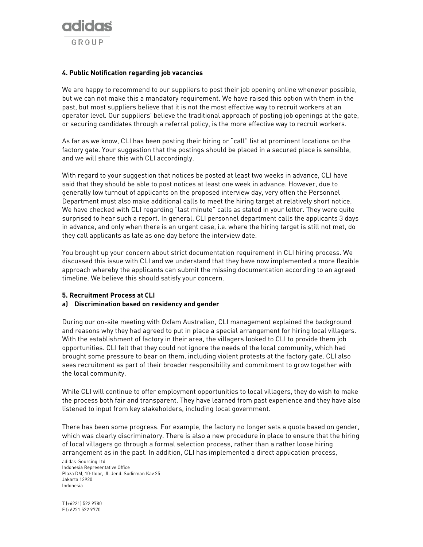

#### 4. Public Notification regarding job vacancies

We are happy to recommend to our suppliers to post their job opening online whenever possible, but we can not make this a mandatory requirement. We have raised this option with them in the past, but most suppliers believe that it is not the most effective way to recruit workers at an operator level. Our suppliers' believe the traditional approach of posting job openings at the gate, or securing candidates through a referral policy, is the more effective way to recruit workers.

As far as we know, CLI has been posting their hiring or "call" list at prominent locations on the factory gate. Your suggestion that the postings should be placed in a secured place is sensible, and we will share this with CLI accordingly.

With regard to your suggestion that notices be posted at least two weeks in advance, CLI have said that they should be able to post notices at least one week in advance. However, due to generally low turnout of applicants on the proposed interview day, very often the Personnel Department must also make additional calls to meet the hiring target at relatively short notice. We have checked with CLI regarding "last minute" calls as stated in your letter. They were quite surprised to hear such a report. In general, CLI personnel department calls the applicants 3 days in advance, and only when there is an urgent case, i.e. where the hiring target is still not met, do they call applicants as late as one day before the interview date.

You brought up your concern about strict documentation requirement in CLI hiring process. We discussed this issue with CLI and we understand that they have now implemented a more flexible approach whereby the applicants can submit the missing documentation according to an agreed timeline. We believe this should satisfy your concern.

#### 5. Recruitment Process at CLI

#### a) Discrimination based on residency and gender

During our on-site meeting with Oxfam Australian, CLI management explained the background and reasons why they had agreed to put in place a special arrangement for hiring local villagers. With the establishment of factory in their area, the villagers looked to CLI to provide them job opportunities. CLI felt that they could not ignore the needs of the local community, which had brought some pressure to bear on them, including violent protests at the factory gate. CLI also sees recruitment as part of their broader responsibility and commitment to grow together with the local community.

While CLI will continue to offer employment opportunities to local villagers, they do wish to make the process both fair and transparent. They have learned from past experience and they have also listened to input from key stakeholders, including local government.

There has been some progress. For example, the factory no longer sets a quota based on gender, which was clearly discriminatory. There is also a new procedure in place to ensure that the hiring of local villagers go through a formal selection process, rather than a rather loose hiring arrangement as in the past. In addition, CLI has implemented a direct application process,

adidas-Sourcing Ltd Indonesia Representative Office Plaza DM, 10 floor, Jl. Jend. Sudirman Kav 25 Jakarta 12920 Indonesia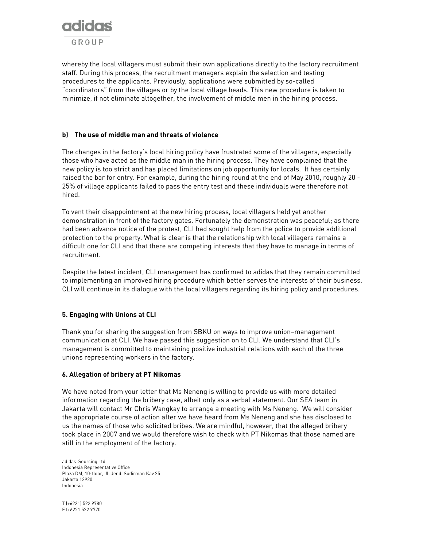

whereby the local villagers must submit their own applications directly to the factory recruitment staff. During this process, the recruitment managers explain the selection and testing procedures to the applicants. Previously, applications were submitted by so-called "coordinators" from the villages or by the local village heads. This new procedure is taken to minimize, if not eliminate altogether, the involvement of middle men in the hiring process.

# b) The use of middle man and threats of violence

The changes in the factory's local hiring policy have frustrated some of the villagers, especially those who have acted as the middle man in the hiring process. They have complained that the new policy is too strict and has placed limitations on job opportunity for locals. It has certainly raised the bar for entry. For example, during the hiring round at the end of May 2010, roughly 20 - 25% of village applicants failed to pass the entry test and these individuals were therefore not hired.

To vent their disappointment at the new hiring process, local villagers held yet another demonstration in front of the factory gates. Fortunately the demonstration was peaceful; as there had been advance notice of the protest, CLI had sought help from the police to provide additional protection to the property. What is clear is that the relationship with local villagers remains a difficult one for CLI and that there are competing interests that they have to manage in terms of recruitment.

Despite the latest incident, CLI management has confirmed to adidas that they remain committed to implementing an improved hiring procedure which better serves the interests of their business. CLI will continue in its dialogue with the local villagers regarding its hiring policy and procedures.

## 5. Engaging with Unions at CLI

Thank you for sharing the suggestion from SBKU on ways to improve union–management communication at CLI. We have passed this suggestion on to CLI. We understand that CLI's management is committed to maintaining positive industrial relations with each of the three unions representing workers in the factory.

## 6. Allegation of bribery at PT Nikomas

We have noted from your letter that Ms Neneng is willing to provide us with more detailed information regarding the bribery case, albeit only as a verbal statement. Our SEA team in Jakarta will contact Mr Chris Wangkay to arrange a meeting with Ms Neneng. We will consider the appropriate course of action after we have heard from Ms Neneng and she has disclosed to us the names of those who solicited bribes. We are mindful, however, that the alleged bribery took place in 2007 and we would therefore wish to check with PT Nikomas that those named are still in the employment of the factory.

adidas-Sourcing Ltd Indonesia Representative Office Plaza DM, 10 floor, Jl. Jend. Sudirman Kav 25 Jakarta 12920 Indonesia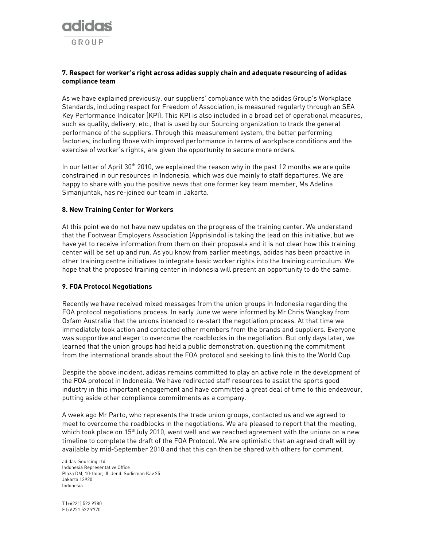

## 7. Respect for worker's right across adidas supply chain and adequate resourcing of adidas compliance team

As we have explained previously, our suppliers' compliance with the adidas Group's Workplace Standards, including respect for Freedom of Association, is measured regularly through an SEA Key Performance Indicator (KPI). This KPI is also included in a broad set of operational measures, such as quality, delivery, etc., that is used by our Sourcing organization to track the general performance of the suppliers. Through this measurement system, the better performing factories, including those with improved performance in terms of workplace conditions and the exercise of worker's rights, are given the opportunity to secure more orders.

In our letter of April  $30<sup>th</sup>$  2010, we explained the reason why in the past 12 months we are quite constrained in our resources in Indonesia, which was due mainly to staff departures. We are happy to share with you the positive news that one former key team member, Ms Adelina Simanjuntak, has re-joined our team in Jakarta.

### 8. New Training Center for Workers

At this point we do not have new updates on the progress of the training center. We understand that the Footwear Employers Association (Apprisindo) is taking the lead on this initiative, but we have yet to receive information from them on their proposals and it is not clear how this training center will be set up and run. As you know from earlier meetings, adidas has been proactive in other training centre initiatives to integrate basic worker rights into the training curriculum. We hope that the proposed training center in Indonesia will present an opportunity to do the same.

## 9. FOA Protocol Negotiations

Recently we have received mixed messages from the union groups in Indonesia regarding the FOA protocol negotiations process. In early June we were informed by Mr Chris Wangkay from Oxfam Australia that the unions intended to re-start the negotiation process. At that time we immediately took action and contacted other members from the brands and suppliers. Everyone was supportive and eager to overcome the roadblocks in the negotiation. But only days later, we learned that the union groups had held a public demonstration, questioning the commitment from the international brands about the FOA protocol and seeking to link this to the World Cup.

Despite the above incident, adidas remains committed to play an active role in the development of the FOA protocol in Indonesia. We have redirected staff resources to assist the sports good industry in this important engagement and have committed a great deal of time to this endeavour, putting aside other compliance commitments as a company.

A week ago Mr Parto, who represents the trade union groups, contacted us and we agreed to meet to overcome the roadblocks in the negotiations. We are pleased to report that the meeting, which took place on  $15<sup>th</sup>$ July 2010, went well and we reached agreement with the unions on a new timeline to complete the draft of the FOA Protocol. We are optimistic that an agreed draft will by available by mid-September 2010 and that this can then be shared with others for comment.

adidas-Sourcing Ltd Indonesia Representative Office Plaza DM, 10 floor, Jl. Jend. Sudirman Kav 25 Jakarta 12920 Indonesia